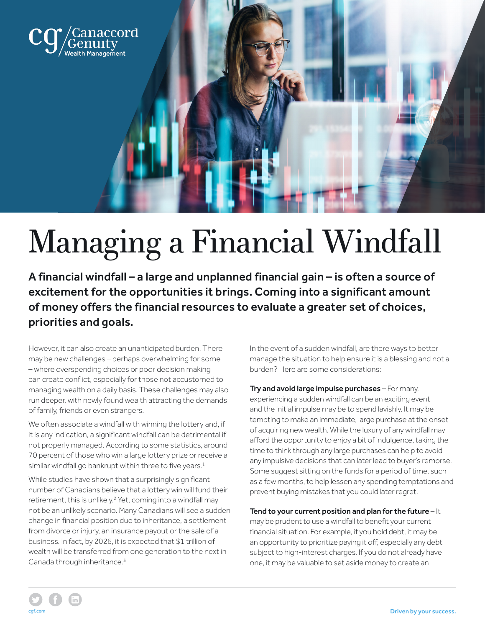

## Managing a Financial Windfall

A financial windfall – a large and unplanned financial gain – is often a source of excitement for the opportunities it brings. Coming into a significant amount of money offers the financial resources to evaluate a greater set of choices, priorities and goals.

However, it can also create an unanticipated burden. There may be new challenges – perhaps overwhelming for some – where overspending choices or poor decision making can create conflict, especially for those not accustomed to managing wealth on a daily basis. These challenges may also run deeper, with newly found wealth attracting the demands of family, friends or even strangers.

We often associate a windfall with winning the lottery and, if it is any indication, a significant windfall can be detrimental if not properly managed. According to some statistics, around 70 percent of those who win a large lottery prize or receive a similar windfall go bankrupt within three to five years.<sup>1</sup>

While studies have shown that a surprisingly significant number of Canadians believe that a lottery win will fund their retirement, this is unlikely.<sup>2</sup> Yet, coming into a windfall may not be an unlikely scenario. Many Canadians will see a sudden change in financial position due to inheritance, a settlement from divorce or injury, an insurance payout or the sale of a business. In fact, by 2026, it is expected that \$1 trillion of wealth will be transferred from one generation to the next in Canada through inheritance.<sup>3</sup>

In the event of a sudden windfall, are there ways to better manage the situation to help ensure it is a blessing and not a burden? Here are some considerations:

Try and avoid large impulse purchases – For many, experiencing a sudden windfall can be an exciting event and the initial impulse may be to spend lavishly. It may be tempting to make an immediate, large purchase at the onset of acquiring new wealth. While the luxury of any windfall may afford the opportunity to enjoy a bit of indulgence, taking the time to think through any large purchases can help to avoid any impulsive decisions that can later lead to buyer's remorse. Some suggest sitting on the funds for a period of time, such as a few months, to help lessen any spending temptations and prevent buying mistakes that you could later regret.

Tend to your current position and plan for the future – It may be prudent to use a windfall to benefit your current financial situation. For example, if you hold debt, it may be an opportunity to prioritize paying it off, especially any debt subject to high-interest charges. If you do not already have one, it may be valuable to set aside money to create an